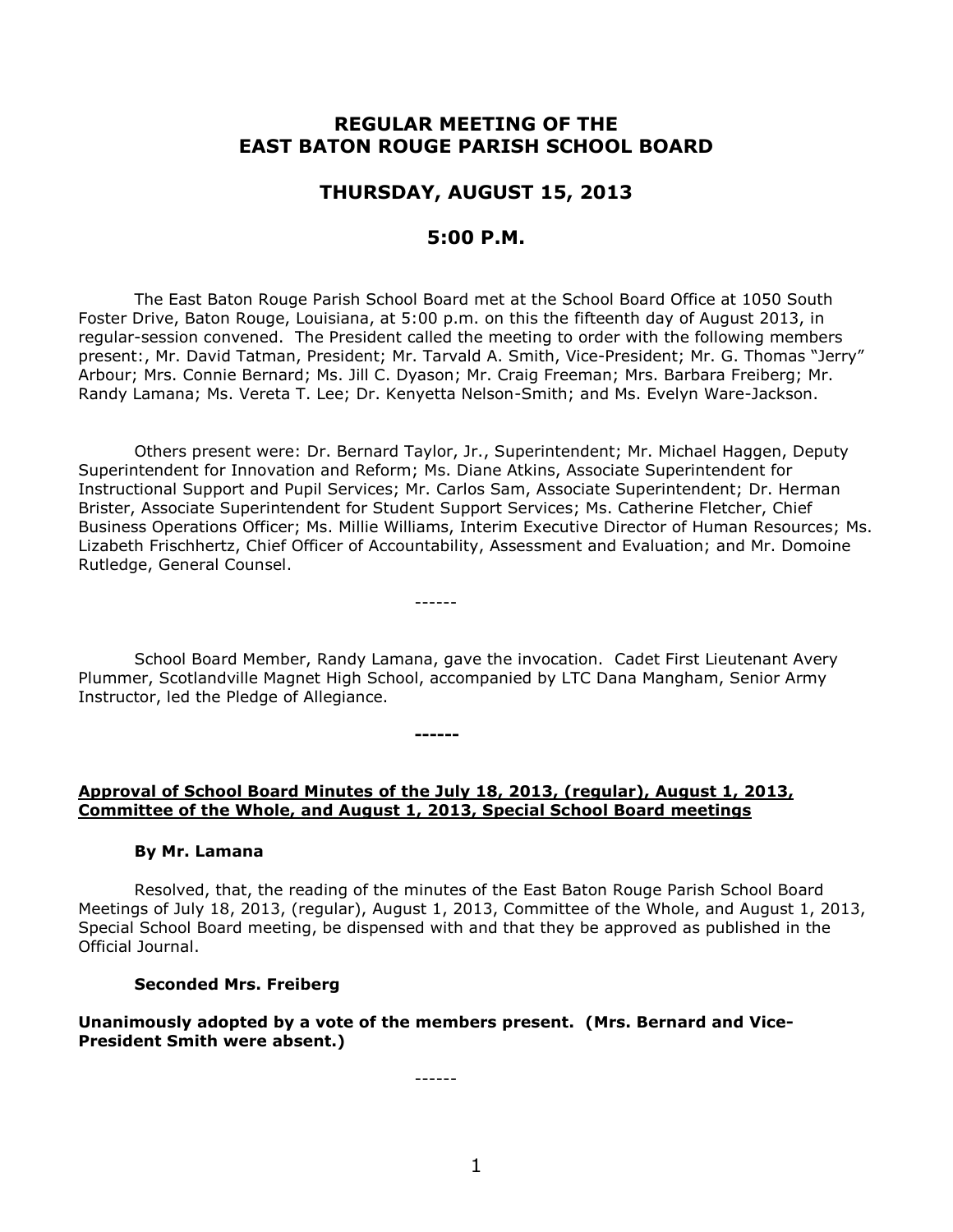# **REGULAR MEETING OF THE EAST BATON ROUGE PARISH SCHOOL BOARD**

# **THURSDAY, AUGUST 15, 2013**

# **5:00 P.M.**

The East Baton Rouge Parish School Board met at the School Board Office at 1050 South Foster Drive, Baton Rouge, Louisiana, at 5:00 p.m. on this the fifteenth day of August 2013, in regular-session convened. The President called the meeting to order with the following members present:, Mr. David Tatman, President; Mr. Tarvald A. Smith, Vice-President; Mr. G. Thomas "Jerry" Arbour; Mrs. Connie Bernard; Ms. Jill C. Dyason; Mr. Craig Freeman; Mrs. Barbara Freiberg; Mr. Randy Lamana; Ms. Vereta T. Lee; Dr. Kenyetta Nelson-Smith; and Ms. Evelyn Ware-Jackson.

Others present were: Dr. Bernard Taylor, Jr., Superintendent; Mr. Michael Haggen, Deputy Superintendent for Innovation and Reform; Ms. Diane Atkins, Associate Superintendent for Instructional Support and Pupil Services; Mr. Carlos Sam, Associate Superintendent; Dr. Herman Brister, Associate Superintendent for Student Support Services; Ms. Catherine Fletcher, Chief Business Operations Officer; Ms. Millie Williams, Interim Executive Director of Human Resources; Ms. Lizabeth Frischhertz, Chief Officer of Accountability, Assessment and Evaluation; and Mr. Domoine Rutledge, General Counsel.

School Board Member, Randy Lamana, gave the invocation. Cadet First Lieutenant Avery Plummer, Scotlandville Magnet High School, accompanied by LTC Dana Mangham, Senior Army Instructor, led the Pledge of Allegiance.

------

**Approval of School Board Minutes of the July 18, 2013, (regular), August 1, 2013, Committee of the Whole, and August 1, 2013, Special School Board meetings**

**------**

#### **By Mr. Lamana**

Resolved, that, the reading of the minutes of the East Baton Rouge Parish School Board Meetings of July 18, 2013, (regular), August 1, 2013, Committee of the Whole, and August 1, 2013, Special School Board meeting, be dispensed with and that they be approved as published in the Official Journal.

#### **Seconded Mrs. Freiberg**

**Unanimously adopted by a vote of the members present. (Mrs. Bernard and Vice-President Smith were absent.)**

------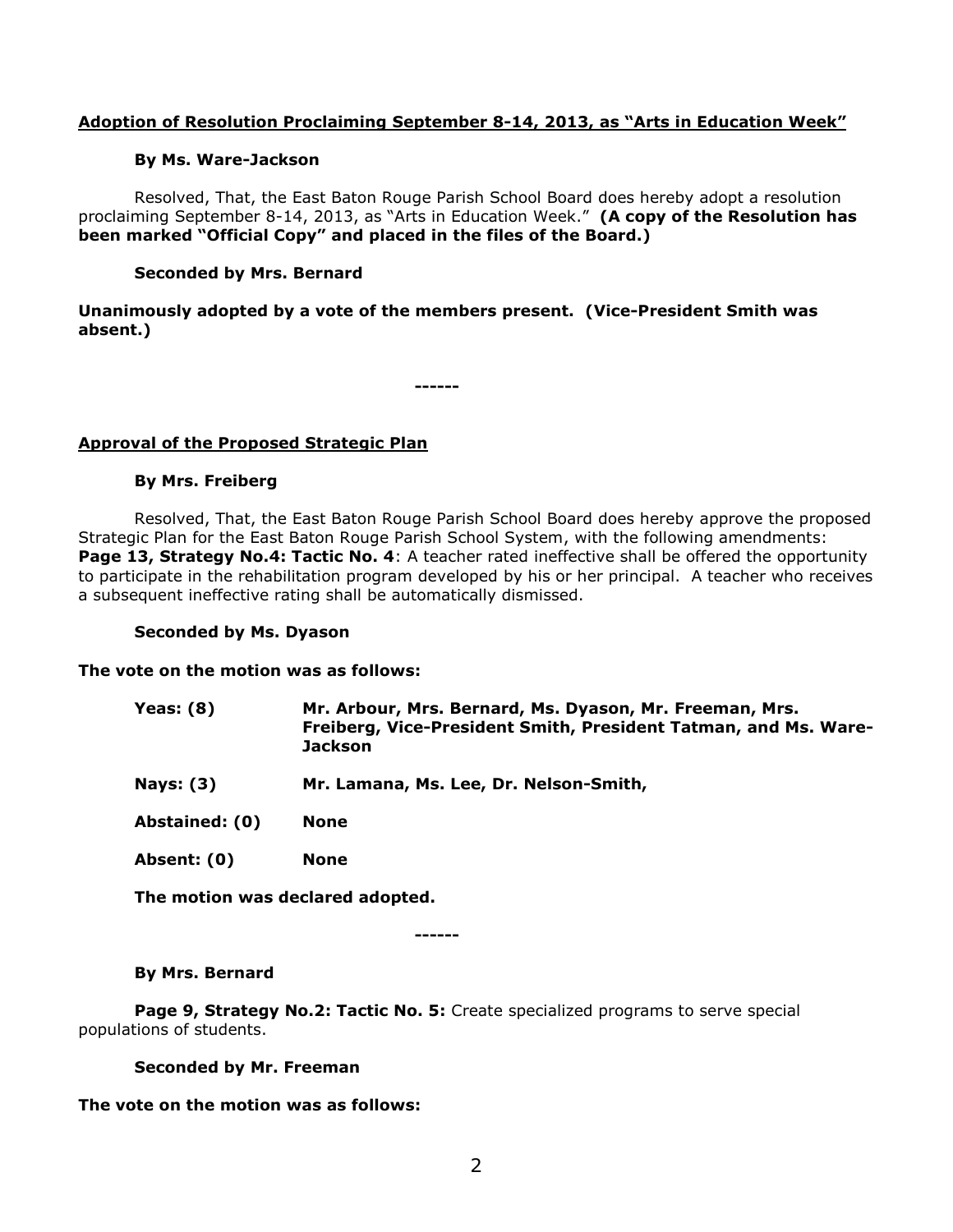## **Adoption of Resolution Proclaiming September 8-14, 2013, as "Arts in Education Week"**

### **By Ms. Ware-Jackson**

Resolved, That, the East Baton Rouge Parish School Board does hereby adopt a resolution proclaiming September 8-14, 2013, as "Arts in Education Week." **(A copy of the Resolution has been marked "Official Copy" and placed in the files of the Board.)**

### **Seconded by Mrs. Bernard**

### **Unanimously adopted by a vote of the members present. (Vice-President Smith was absent.)**

**------**

# **Approval of the Proposed Strategic Plan**

### **By Mrs. Freiberg**

Resolved, That, the East Baton Rouge Parish School Board does hereby approve the proposed Strategic Plan for the East Baton Rouge Parish School System, with the following amendments: **Page 13, Strategy No.4: Tactic No. 4:** A teacher rated ineffective shall be offered the opportunity to participate in the rehabilitation program developed by his or her principal. A teacher who receives a subsequent ineffective rating shall be automatically dismissed.

### **Seconded by Ms. Dyason**

### **The vote on the motion was as follows:**

| <b>Yeas: (8)</b> | Mr. Arbour, Mrs. Bernard, Ms. Dyason, Mr. Freeman, Mrs.<br>Freiberg, Vice-President Smith, President Tatman, and Ms. Ware-<br><b>Jackson</b> |
|------------------|----------------------------------------------------------------------------------------------------------------------------------------------|
| <b>Nays: (3)</b> | Mr. Lamana, Ms. Lee, Dr. Nelson-Smith,                                                                                                       |
| Abstained: (0)   | None                                                                                                                                         |
| Absent: (0)      | <b>None</b>                                                                                                                                  |

**The motion was declared adopted.**

**------**

### **By Mrs. Bernard**

**Page 9, Strategy No.2: Tactic No. 5:** Create specialized programs to serve special populations of students.

**Seconded by Mr. Freeman**

**The vote on the motion was as follows:**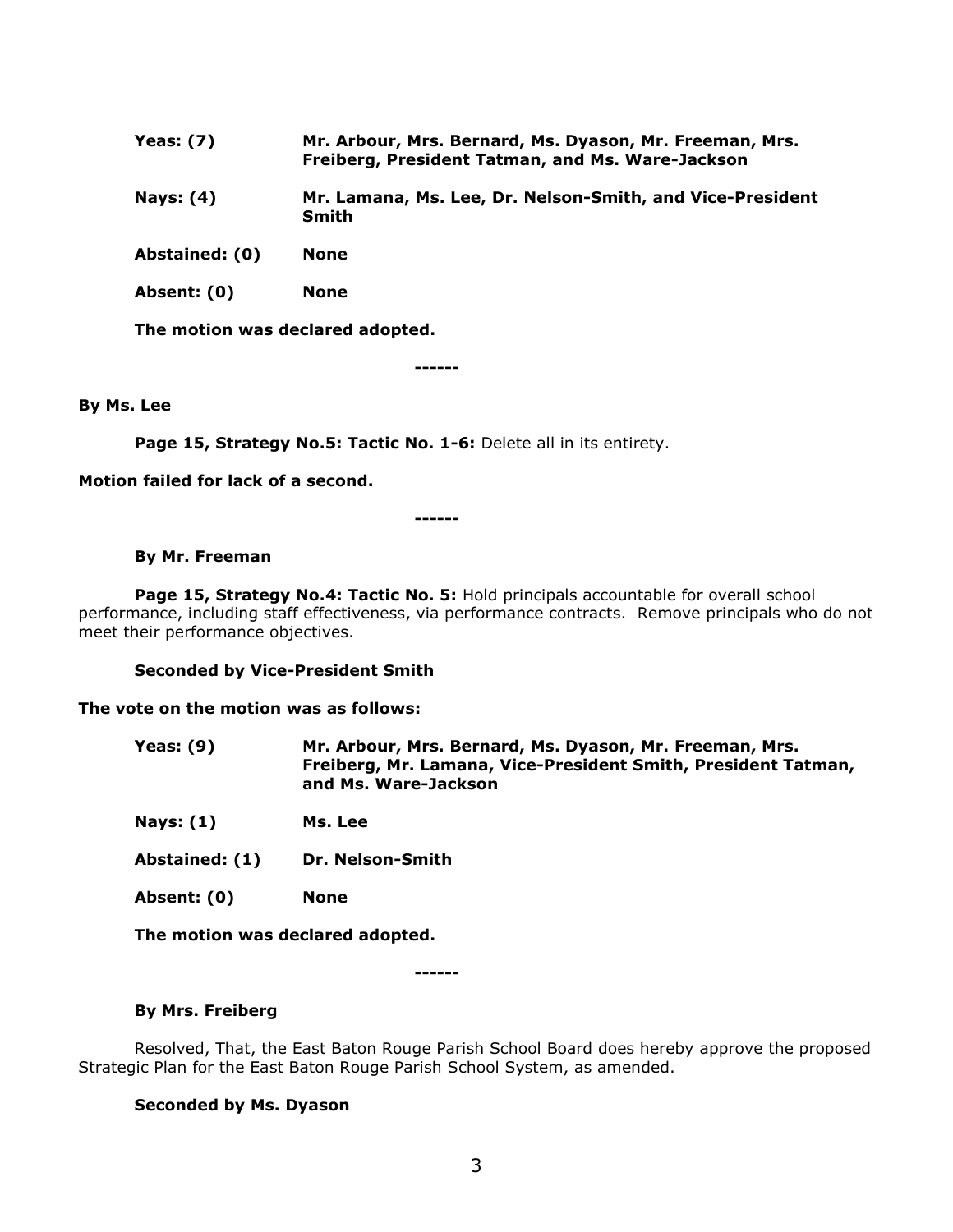- **Yeas: (7) Mr. Arbour, Mrs. Bernard, Ms. Dyason, Mr. Freeman, Mrs. Freiberg, President Tatman, and Ms. Ware-Jackson**
- **Nays: (4) Mr. Lamana, Ms. Lee, Dr. Nelson-Smith, and Vice-President Smith**
- **Abstained: (0) None**
- **Absent: (0) None**

**The motion was declared adopted.**

**------**

#### **By Ms. Lee**

Page 15, Strategy No.5: Tactic No. 1-6: Delete all in its entirety.

**Motion failed for lack of a second.**

**------**

#### **By Mr. Freeman**

**Page 15, Strategy No.4: Tactic No. 5:** Hold principals accountable for overall school performance, including staff effectiveness, via performance contracts. Remove principals who do not meet their performance objectives.

**Seconded by Vice-President Smith**

#### **The vote on the motion was as follows:**

- **Yeas: (9) Mr. Arbour, Mrs. Bernard, Ms. Dyason, Mr. Freeman, Mrs. Freiberg, Mr. Lamana, Vice-President Smith, President Tatman, and Ms. Ware-Jackson**
- **Nays: (1) Ms. Lee**
- **Abstained: (1) Dr. Nelson-Smith**
- **Absent: (0) None**

**The motion was declared adopted.**

**------**

#### **By Mrs. Freiberg**

Resolved, That, the East Baton Rouge Parish School Board does hereby approve the proposed Strategic Plan for the East Baton Rouge Parish School System, as amended.

#### **Seconded by Ms. Dyason**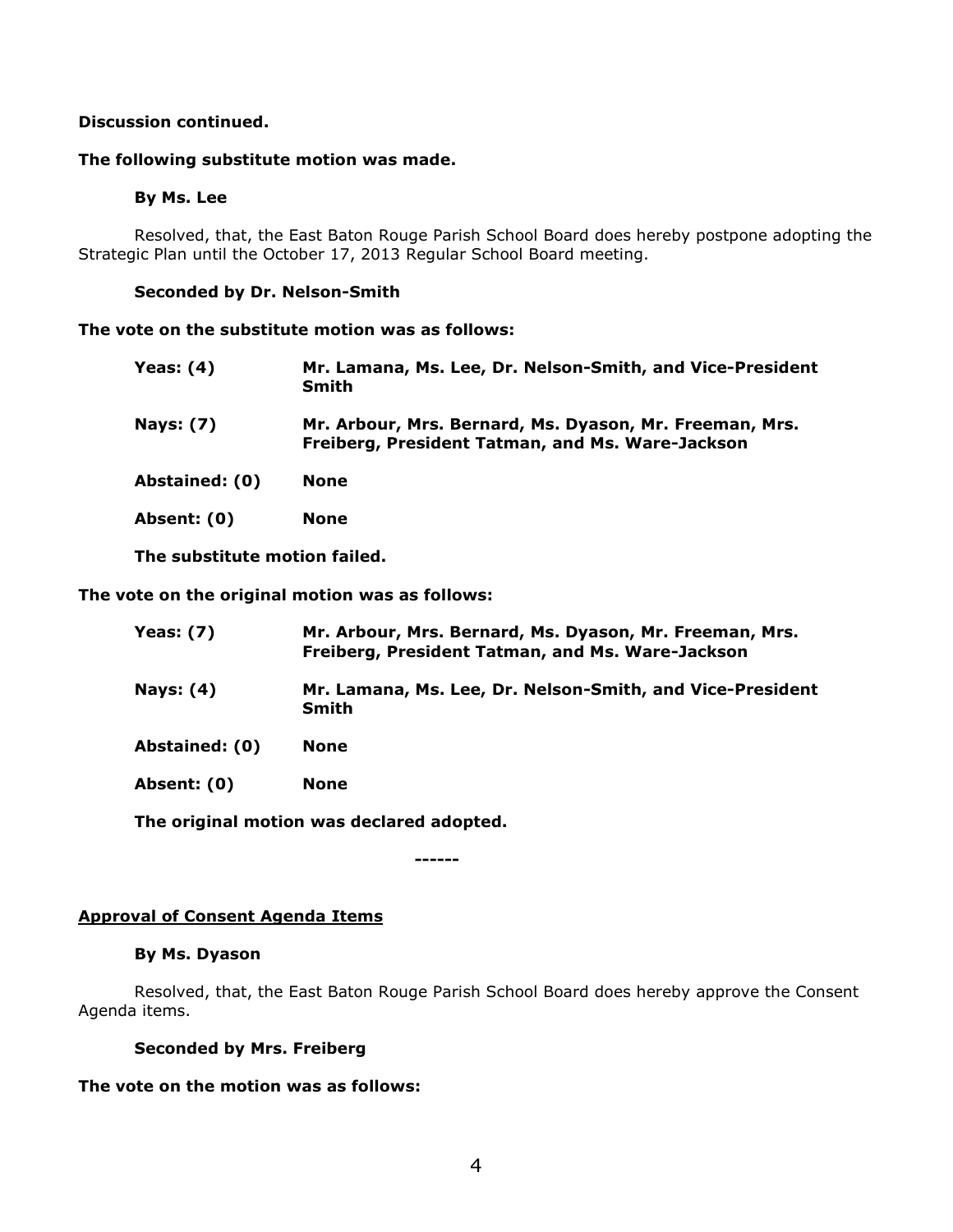# **Discussion continued.**

#### **The following substitute motion was made.**

### **By Ms. Lee**

Resolved, that, the East Baton Rouge Parish School Board does hereby postpone adopting the Strategic Plan until the October 17, 2013 Regular School Board meeting.

#### **Seconded by Dr. Nelson-Smith**

**The vote on the substitute motion was as follows:**

| Yeas: (4)        | Mr. Lamana, Ms. Lee, Dr. Nelson-Smith, and Vice-President<br>Smith                                          |
|------------------|-------------------------------------------------------------------------------------------------------------|
| <b>Nays: (7)</b> | Mr. Arbour, Mrs. Bernard, Ms. Dyason, Mr. Freeman, Mrs.<br>Freiberg, President Tatman, and Ms. Ware-Jackson |
| Abstained: (0)   | None                                                                                                        |
| Absent: (0)      | None                                                                                                        |

**The substitute motion failed.**

**The vote on the original motion was as follows:**

| <b>Yeas: (7)</b> | Mr. Arbour, Mrs. Bernard, Ms. Dyason, Mr. Freeman, Mrs.<br>Freiberg, President Tatman, and Ms. Ware-Jackson |
|------------------|-------------------------------------------------------------------------------------------------------------|
| Nays: (4)        | Mr. Lamana, Ms. Lee, Dr. Nelson-Smith, and Vice-President<br>Smith                                          |
| Abstained: (0)   | None                                                                                                        |
| Absent: (0)      | <b>None</b>                                                                                                 |

**The original motion was declared adopted.**

**------**

### **Approval of Consent Agenda Items**

### **By Ms. Dyason**

Resolved, that, the East Baton Rouge Parish School Board does hereby approve the Consent Agenda items.

### **Seconded by Mrs. Freiberg**

**The vote on the motion was as follows:**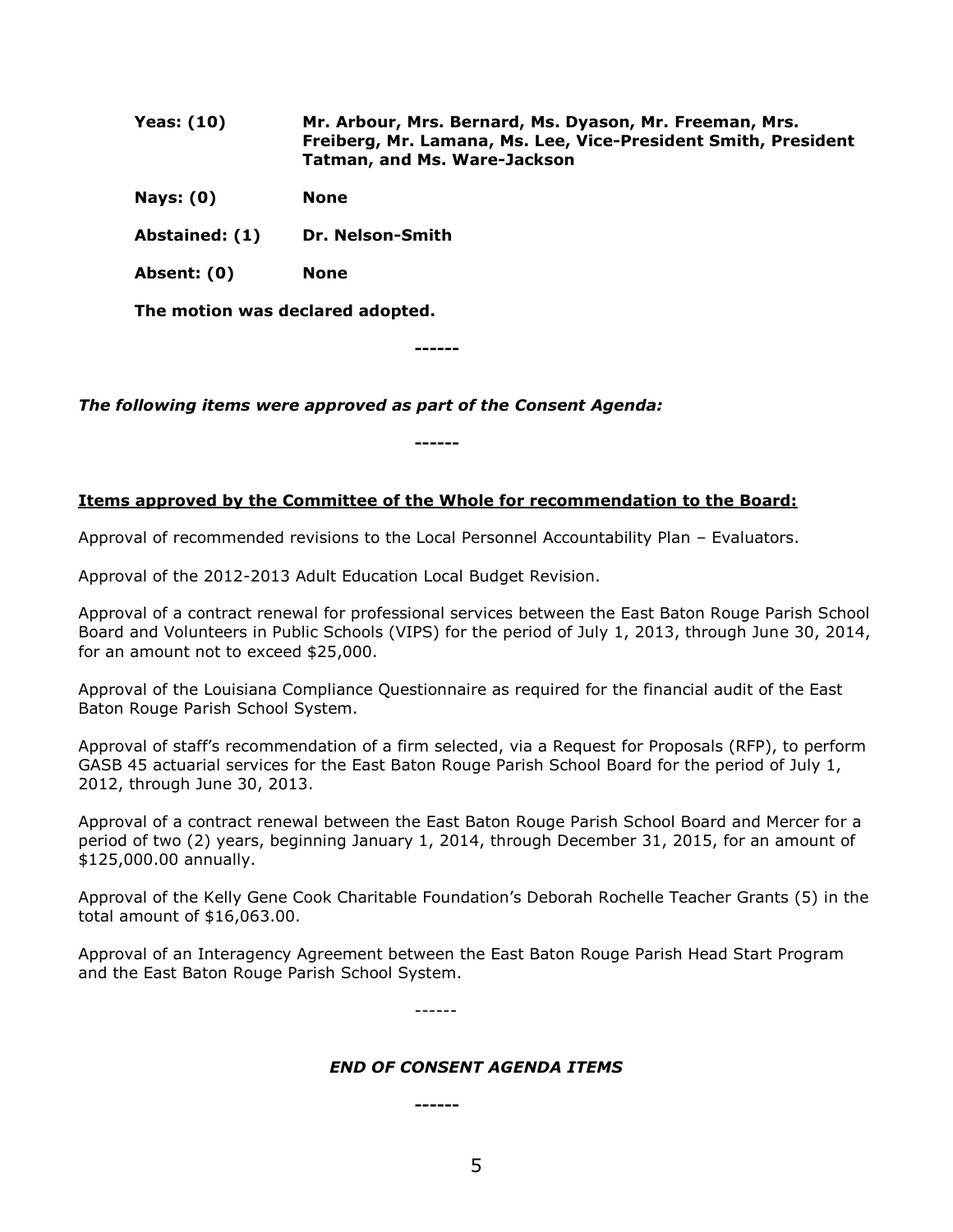| <b>Yeas: (10)</b> | Mr. Arbour, Mrs. Bernard, Ms. Dyason, Mr. Freeman, Mrs.<br>Freiberg, Mr. Lamana, Ms. Lee, Vice-President Smith, President<br><b>Tatman, and Ms. Ware-Jackson</b> |
|-------------------|------------------------------------------------------------------------------------------------------------------------------------------------------------------|
| Nays: $(0)$       | None                                                                                                                                                             |
| Abstained: (1)    | Dr. Nelson-Smith                                                                                                                                                 |
| Absent: (0)       | None                                                                                                                                                             |

**The motion was declared adopted.**

**------**

*The following items were approved as part of the Consent Agenda:*

**------**

# **Items approved by the Committee of the Whole for recommendation to the Board:**

Approval of recommended revisions to the Local Personnel Accountability Plan – Evaluators.

Approval of the 2012-2013 Adult Education Local Budget Revision.

Approval of a contract renewal for professional services between the East Baton Rouge Parish School Board and Volunteers in Public Schools (VIPS) for the period of July 1, 2013, through June 30, 2014, for an amount not to exceed \$25,000.

Approval of the Louisiana Compliance Questionnaire as required for the financial audit of the East Baton Rouge Parish School System.

Approval of staff's recommendation of a firm selected, via a Request for Proposals (RFP), to perform GASB 45 actuarial services for the East Baton Rouge Parish School Board for the period of July 1, 2012, through June 30, 2013.

Approval of a contract renewal between the East Baton Rouge Parish School Board and Mercer for a period of two (2) years, beginning January 1, 2014, through December 31, 2015, for an amount of \$125,000.00 annually.

Approval of the Kelly Gene Cook Charitable Foundation's Deborah Rochelle Teacher Grants (5) in the total amount of \$16,063.00.

Approval of an Interagency Agreement between the East Baton Rouge Parish Head Start Program and the East Baton Rouge Parish School System.

------

### *END OF CONSENT AGENDA ITEMS*

**------**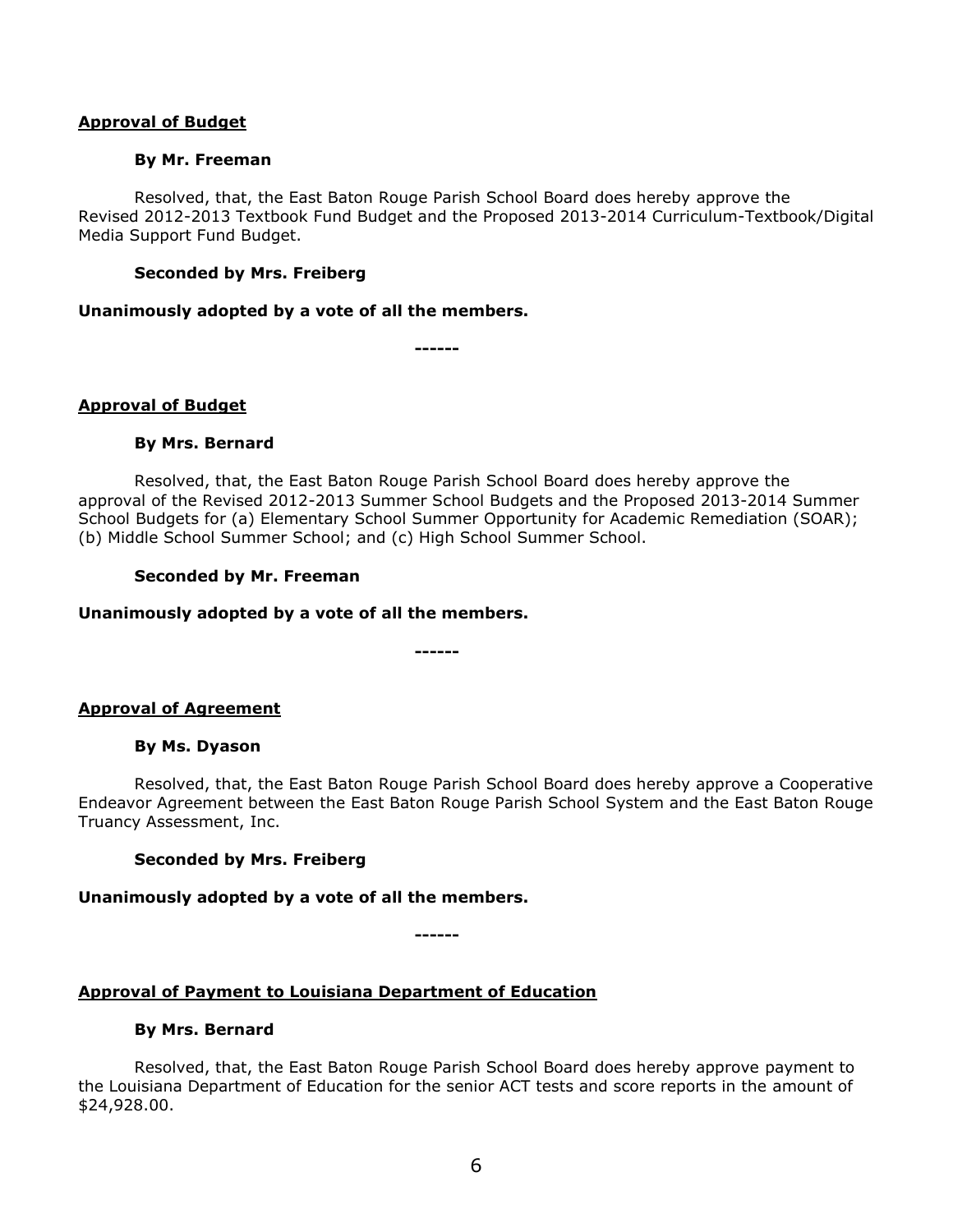### **Approval of Budget**

#### **By Mr. Freeman**

Resolved, that, the East Baton Rouge Parish School Board does hereby approve the Revised 2012-2013 Textbook Fund Budget and the Proposed 2013-2014 Curriculum-Textbook/Digital Media Support Fund Budget.

### **Seconded by Mrs. Freiberg**

#### **Unanimously adopted by a vote of all the members.**

**------**

### **Approval of Budget**

#### **By Mrs. Bernard**

Resolved, that, the East Baton Rouge Parish School Board does hereby approve the approval of the Revised 2012-2013 Summer School Budgets and the Proposed 2013-2014 Summer School Budgets for (a) Elementary School Summer Opportunity for Academic Remediation (SOAR); (b) Middle School Summer School; and (c) High School Summer School.

#### **Seconded by Mr. Freeman**

### **Unanimously adopted by a vote of all the members.**

**------**

### **Approval of Agreement**

#### **By Ms. Dyason**

Resolved, that, the East Baton Rouge Parish School Board does hereby approve a Cooperative Endeavor Agreement between the East Baton Rouge Parish School System and the East Baton Rouge Truancy Assessment, Inc.

### **Seconded by Mrs. Freiberg**

### **Unanimously adopted by a vote of all the members.**

**------**

# **Approval of Payment to Louisiana Department of Education**

#### **By Mrs. Bernard**

Resolved, that, the East Baton Rouge Parish School Board does hereby approve payment to the Louisiana Department of Education for the senior ACT tests and score reports in the amount of \$24,928.00.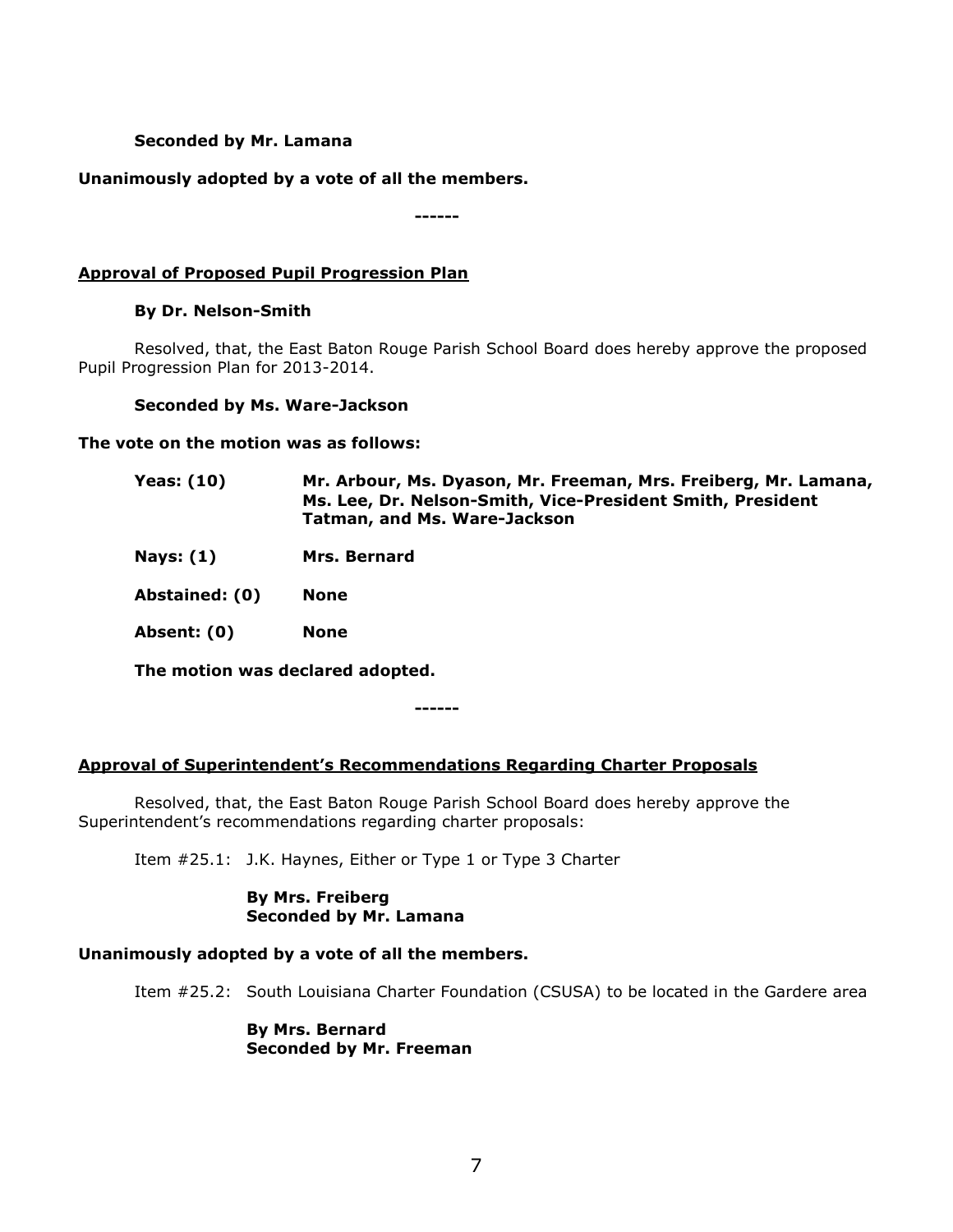## **Seconded by Mr. Lamana**

# **Unanimously adopted by a vote of all the members.**

**------**

# **Approval of Proposed Pupil Progression Plan**

### **By Dr. Nelson-Smith**

Resolved, that, the East Baton Rouge Parish School Board does hereby approve the proposed Pupil Progression Plan for 2013-2014.

#### **Seconded by Ms. Ware-Jackson**

#### **The vote on the motion was as follows:**

| Yeas: (10) | Mr. Arbour, Ms. Dyason, Mr. Freeman, Mrs. Freiberg, Mr. Lamana, |
|------------|-----------------------------------------------------------------|
|            | Ms. Lee, Dr. Nelson-Smith, Vice-President Smith, President      |
|            | Tatman, and Ms. Ware-Jackson                                    |
|            |                                                                 |

**Nays: (1) Mrs. Bernard**

**Abstained: (0) None**

**Absent: (0) None**

**The motion was declared adopted.**

**------**

### **Approval of Superintendent's Recommendations Regarding Charter Proposals**

Resolved, that, the East Baton Rouge Parish School Board does hereby approve the Superintendent's recommendations regarding charter proposals:

Item #25.1: J.K. Haynes, Either or Type 1 or Type 3 Charter

# **By Mrs. Freiberg Seconded by Mr. Lamana**

# **Unanimously adopted by a vote of all the members.**

Item #25.2: South Louisiana Charter Foundation (CSUSA) to be located in the Gardere area

### **By Mrs. Bernard Seconded by Mr. Freeman**